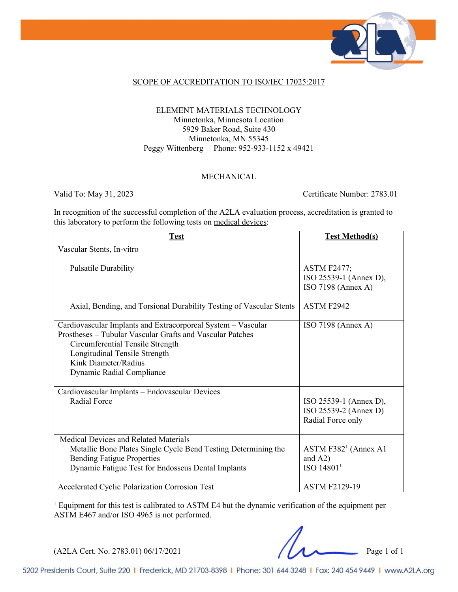

### SCOPE OF ACCREDITATION TO ISO/IEC 17025:2017

### ELEMENT MATERIALS TECHNOLOGY Minnetonka, Minnesota Location 5929 Baker Road, Suite 430 Minnetonka, MN 55345 Peggy Wittenberg Phone: 952-933-1152 x 49421

#### MECHANICAL

Valid To: May 31, 2023 Certificate Number: 2783.01

In recognition of the successful completion of the A2LA evaluation process, accreditation is granted to this laboratory to perform the following tests on medical devices:

| <b>Test</b>                                                                                                                                                                                                                                         | <b>Test Method(s)</b>                                                |
|-----------------------------------------------------------------------------------------------------------------------------------------------------------------------------------------------------------------------------------------------------|----------------------------------------------------------------------|
| Vascular Stents, In-vitro                                                                                                                                                                                                                           |                                                                      |
| <b>Pulsatile Durability</b>                                                                                                                                                                                                                         | <b>ASTM F2477;</b><br>ISO 25539-1 (Annex D),<br>ISO 7198 (Annex A)   |
| Axial, Bending, and Torsional Durability Testing of Vascular Stents                                                                                                                                                                                 | ASTM F2942                                                           |
| Cardiovascular Implants and Extracorporeal System - Vascular<br>Prostheses - Tubular Vascular Grafts and Vascular Patches<br>Circumferential Tensile Strength<br>Longitudinal Tensile Strength<br>Kink Diameter/Radius<br>Dynamic Radial Compliance | ISO 7198 (Annex A)                                                   |
| Cardiovascular Implants - Endovascular Devices                                                                                                                                                                                                      |                                                                      |
| Radial Force                                                                                                                                                                                                                                        | ISO 25539-1 (Annex D),<br>ISO 25539-2 (Annex D)<br>Radial Force only |
| Medical Devices and Related Materials                                                                                                                                                                                                               |                                                                      |
| Metallic Bone Plates Single Cycle Bend Testing Determining the                                                                                                                                                                                      | ASTM F382 <sup>1</sup> (Annex A1)                                    |
| <b>Bending Fatigue Properties</b>                                                                                                                                                                                                                   | and $A2)$                                                            |
| Dynamic Fatigue Test for Endosseus Dental Implants                                                                                                                                                                                                  | ISO 14801 <sup>1</sup>                                               |
| Accelerated Cyclic Polarization Corrosion Test                                                                                                                                                                                                      | <b>ASTM F2129-19</b>                                                 |

<sup>1</sup> Equipment for this test is calibrated to ASTM E4 but the dynamic verification of the equipment per ASTM E467 and/or ISO 4965 is not performed.

(A2LA Cert. No. 2783.01) 06/17/2021 Page 1 of 1

5202 Presidents Court, Suite 220 | Frederick, MD 21703-8398 | Phone: 301 644 3248 | Fax: 240 454 9449 | www.A2LA.org